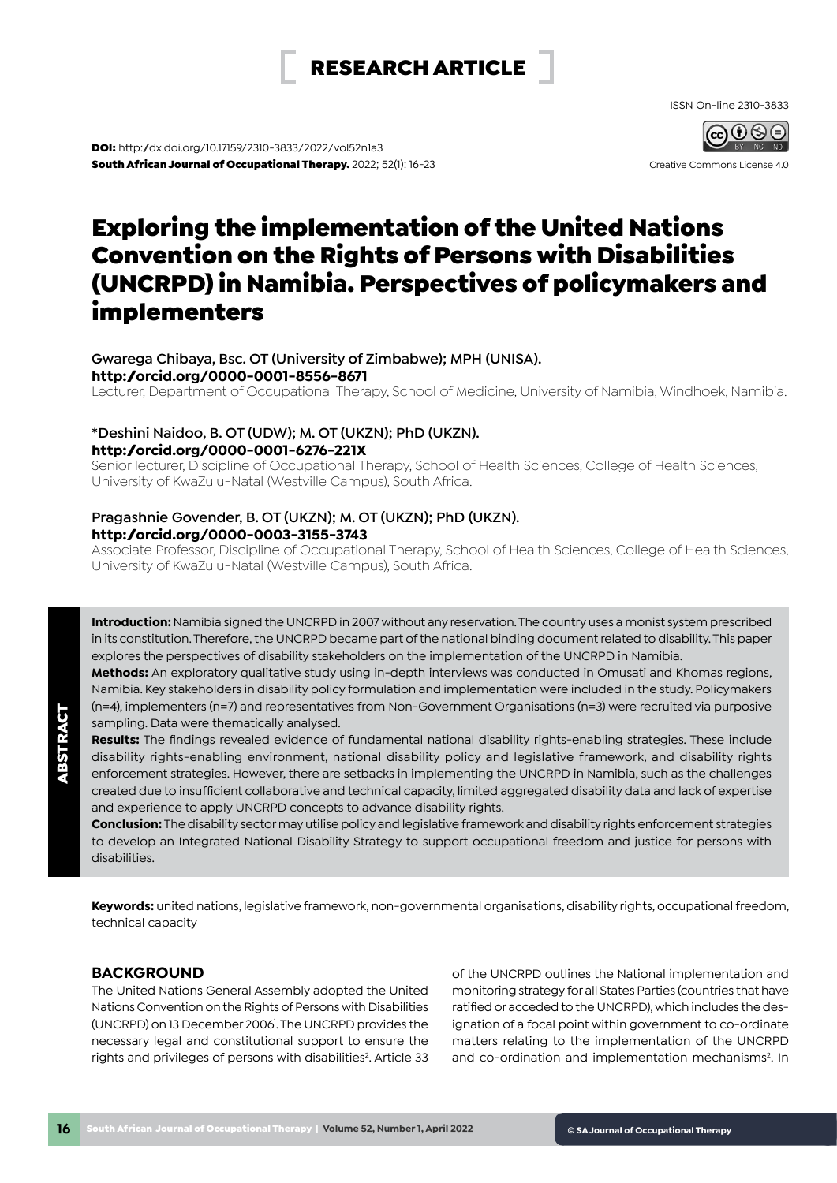# RESEARCH ARTICLE

ISSN On-line 2310-3833

Creative Commons License 4.0

DOI: [http:/dx.doi.org/10.17159/2310-3833/2022/vol52n1a3](http://dx.doi.org/10.17159/2310-3833/2021/vol52n1a3)  South African Journal of Occupational Therapy. 2022; 52(1): 16-23

# Exploring the implementation of the United Nations Convention on the Rights of Persons with Disabilities (UNCRPD) in Namibia. Perspectives of policymakers and implementers

## **Gwarega Chibaya, Bsc. OT (University of Zimbabwe); MPH (UNISA). <http://orcid.org/0000-0001-8556-8671>**

Lecturer, Department of Occupational Therapy, School of Medicine, University of Namibia, Windhoek, Namibia.

# **\*Deshini Naidoo, B. OT (UDW); M. OT (UKZN); PhD (UKZN). <http://orcid.org/0000-0001-6276-221X>**

Senior lecturer, Discipline of Occupational Therapy, School of Health Sciences, College of Health Sciences, University of KwaZulu-Natal (Westville Campus), South Africa.

# **Pragashnie Govender, B. OT (UKZN); M. OT (UKZN); PhD (UKZN). <http://orcid.org/0000-0003-3155-3743>**

Associate Professor, Discipline of Occupational Therapy, School of Health Sciences, College of Health Sciences, University of KwaZulu-Natal (Westville Campus), South Africa.

**Introduction:** Namibia signed the UNCRPD in 2007 without any reservation. The country uses a monist system prescribed in its constitution. Therefore, the UNCRPD became part of the national binding document related to disability. This paper explores the perspectives of disability stakeholders on the implementation of the UNCRPD in Namibia.

**Methods:** An exploratory qualitative study using in-depth interviews was conducted in Omusati and Khomas regions, Namibia. Key stakeholders in disability policy formulation and implementation were included in the study. Policymakers (n=4), implementers (n=7) and representatives from Non-Government Organisations (n=3) were recruited via purposive sampling. Data were thematically analysed.

**Results:** The findings revealed evidence of fundamental national disability rights-enabling strategies. These include disability rights-enabling environment, national disability policy and legislative framework, and disability rights enforcement strategies. However, there are setbacks in implementing the UNCRPD in Namibia, such as the challenges created due to insufficient collaborative and technical capacity, limited aggregated disability data and lack of expertise and experience to apply UNCRPD concepts to advance disability rights.

**Conclusion:** The disability sector may utilise policy and legislative framework and disability rights enforcement strategies to develop an Integrated National Disability Strategy to support occupational freedom and justice for persons with disabilities.

**Keywords:** united nations, legislative framework, non-governmental organisations, disability rights, occupational freedom, technical capacity

# **BACKGROUND**

The United Nations General Assembly adopted the United Nations Convention on the Rights of Persons with Disabilities (UNCRPD) on 13 December 2006<sup>1</sup>. The UNCRPD provides the necessary legal and constitutional support to ensure the rights and privileges of persons with disabilities<sup>2</sup>. Article 33

of the UNCRPD outlines the National implementation and monitoring strategy for all States Parties (countries that have ratified or acceded to the UNCRPD), which includes the designation of a focal point within government to co-ordinate matters relating to the implementation of the UNCRPD and co-ordination and implementation mechanisms<sup>2</sup>. In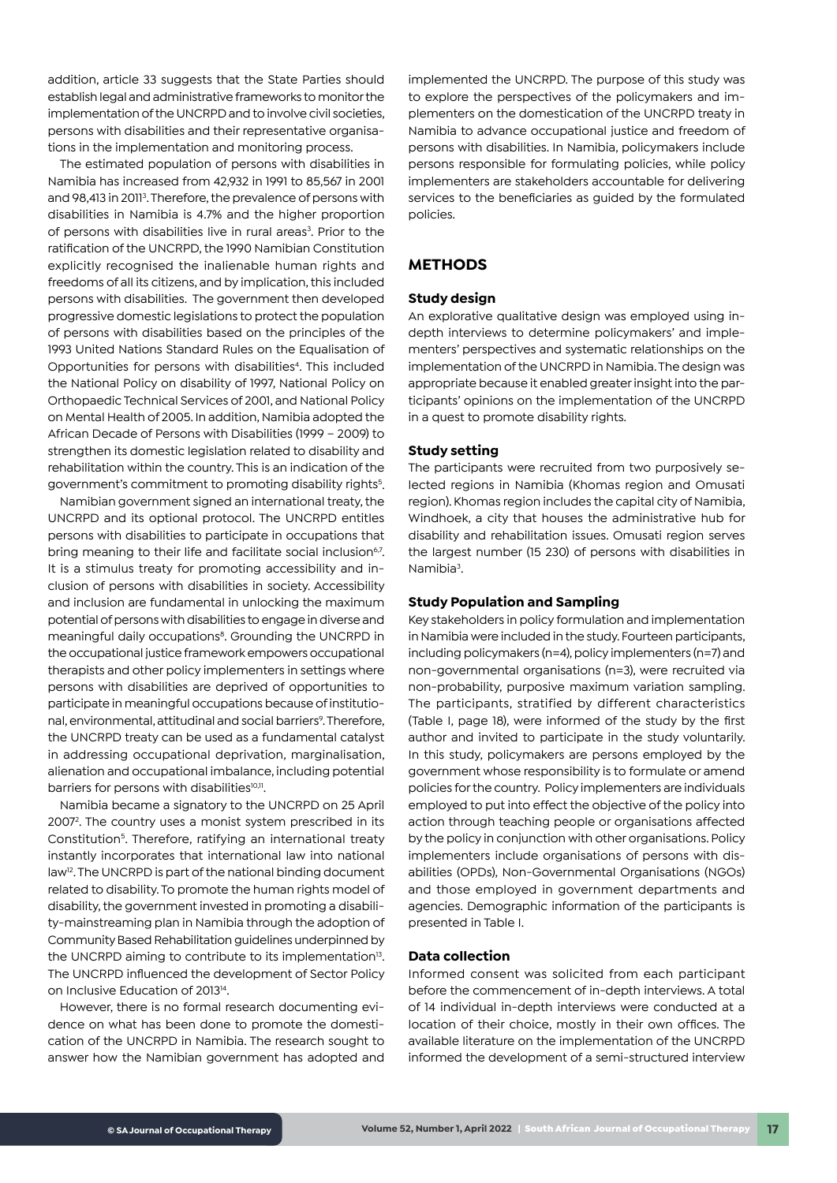addition, article 33 suggests that the State Parties should establish legal and administrative frameworks to monitor the implementation of the UNCRPD and to involve civil societies, persons with disabilities and their representative organisations in the implementation and monitoring process.

The estimated population of persons with disabilities in Namibia has increased from 42,932 in 1991 to 85,567 in 2001 and 98,413 in 2011<sup>3</sup>. Therefore, the prevalence of persons with disabilities in Namibia is 4.7% and the higher proportion of persons with disabilities live in rural areas<sup>3</sup>. Prior to the ratification of the UNCRPD, the 1990 Namibian Constitution explicitly recognised the inalienable human rights and freedoms of all its citizens, and by implication, this included persons with disabilities. The government then developed progressive domestic legislations to protect the population of persons with disabilities based on the principles of the 1993 United Nations Standard Rules on the Equalisation of Opportunities for persons with disabilities<sup>4</sup>. This included the National Policy on disability of 1997, National Policy on Orthopaedic Technical Services of 2001, and National Policy on Mental Health of 2005. In addition, Namibia adopted the African Decade of Persons with Disabilities (1999 – 2009) to strengthen its domestic legislation related to disability and rehabilitation within the country. This is an indication of the government's commitment to promoting disability rights<sup>5</sup>.

Namibian government signed an international treaty, the UNCRPD and its optional protocol. The UNCRPD entitles persons with disabilities to participate in occupations that bring meaning to their life and facilitate social inclusion<sup>67</sup>. It is a stimulus treaty for promoting accessibility and inclusion of persons with disabilities in society. Accessibility and inclusion are fundamental in unlocking the maximum potential of persons with disabilities to engage in diverse and meaningful daily occupations<sup>8</sup>. Grounding the UNCRPD in the occupational justice framework empowers occupational therapists and other policy implementers in settings where persons with disabilities are deprived of opportunities to participate in meaningful occupations because of institutional, environmental, attitudinal and social barriers<sup>9</sup>. Therefore, the UNCRPD treaty can be used as a fundamental catalyst in addressing occupational deprivation, marginalisation, alienation and occupational imbalance, including potential barriers for persons with disabilities<sup>10,11</sup>.

Namibia became a signatory to the UNCRPD on 25 April 2007<sup>2</sup>. The country uses a monist system prescribed in its Constitution<sup>5</sup>. Therefore, ratifying an international treaty instantly incorporates that international law into national law12. The UNCRPD is part of the national binding document related to disability. To promote the human rights model of disability, the government invested in promoting a disability-mainstreaming plan in Namibia through the adoption of Community Based Rehabilitation guidelines underpinned by the UNCRPD aiming to contribute to its implementation<sup>13</sup>. The UNCRPD influenced the development of Sector Policy on Inclusive Education of 2013<sup>14</sup>.

However, there is no formal research documenting evidence on what has been done to promote the domestication of the UNCRPD in Namibia. The research sought to answer how the Namibian government has adopted and implemented the UNCRPD. The purpose of this study was to explore the perspectives of the policymakers and implementers on the domestication of the UNCRPD treaty in Namibia to advance occupational justice and freedom of persons with disabilities. In Namibia, policymakers include persons responsible for formulating policies, while policy implementers are stakeholders accountable for delivering services to the beneficiaries as guided by the formulated policies.

# **METHODS**

#### **Study design**

An explorative qualitative design was employed using indepth interviews to determine policymakers' and implementers' perspectives and systematic relationships on the implementation of the UNCRPD in Namibia. The design was appropriate because it enabled greater insight into the participants' opinions on the implementation of the UNCRPD in a quest to promote disability rights.

#### **Study setting**

The participants were recruited from two purposively selected regions in Namibia (Khomas region and Omusati region). Khomas region includes the capital city of Namibia, Windhoek, a city that houses the administrative hub for disability and rehabilitation issues. Omusati region serves the largest number (15 230) of persons with disabilities in Namibia<sup>3</sup>.

#### **Study Population and Sampling**

Key stakeholders in policy formulation and implementation in Namibia were included in the study. Fourteen participants, including policymakers (n=4), policy implementers (n=7) and non-governmental organisations (n=3), were recruited via non-probability, purposive maximum variation sampling. The participants, stratified by different characteristics (Table I, page 18), were informed of the study by the first author and invited to participate in the study voluntarily. In this study, policymakers are persons employed by the government whose responsibility is to formulate or amend policies for the country. Policy implementers are individuals employed to put into effect the objective of the policy into action through teaching people or organisations affected by the policy in conjunction with other organisations. Policy implementers include organisations of persons with disabilities (OPDs), Non-Governmental Organisations (NGOs) and those employed in government departments and agencies. Demographic information of the participants is presented in Table I.

#### **Data collection**

Informed consent was solicited from each participant before the commencement of in-depth interviews. A total of 14 individual in-depth interviews were conducted at a location of their choice, mostly in their own offices. The available literature on the implementation of the UNCRPD informed the development of a semi-structured interview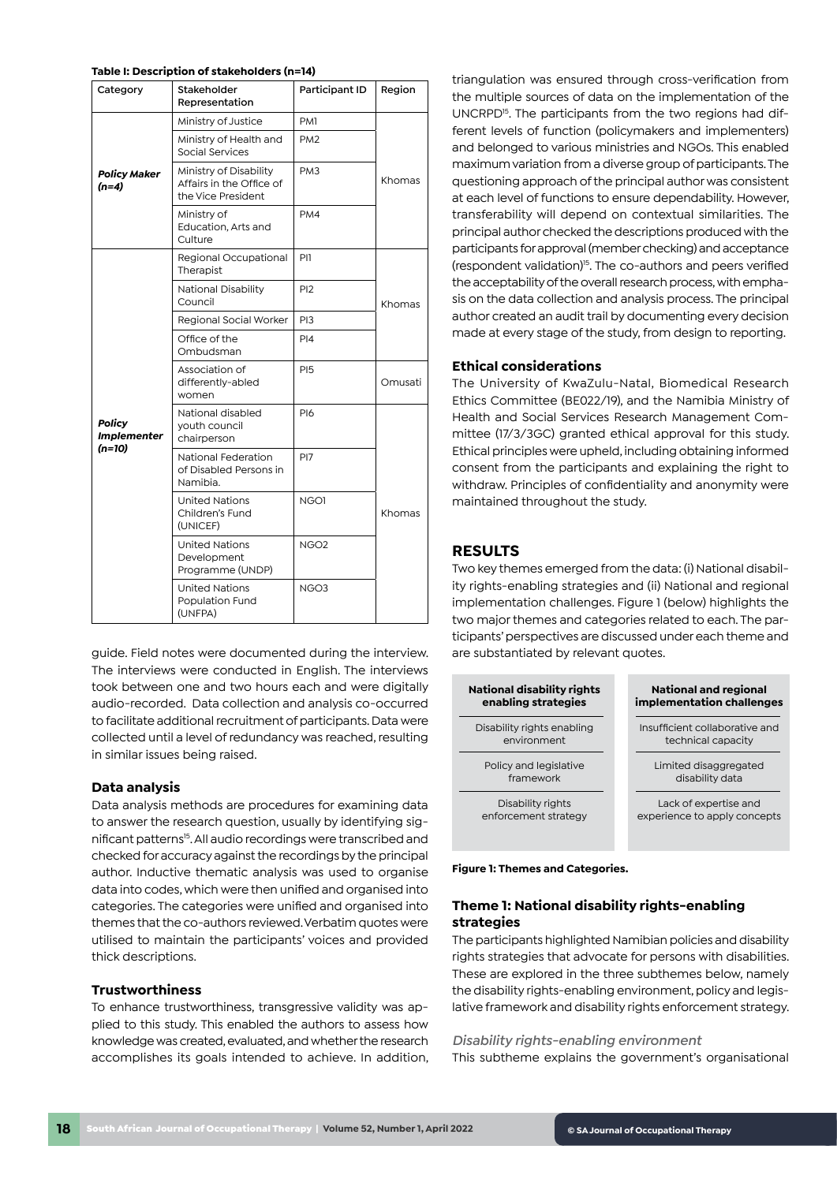#### **Table I: Description of stakeholders (n=14)**

| Category                                        | Stakeholder<br>Representation                                            | Participant ID   | Region  |
|-------------------------------------------------|--------------------------------------------------------------------------|------------------|---------|
| <b>Policy Maker</b><br>$(n=4)$                  | Ministry of Justice                                                      | PM <sub>1</sub>  | Khomas  |
|                                                 | Ministry of Health and<br>Social Services                                | PM <sub>2</sub>  |         |
|                                                 | Ministry of Disability<br>Affairs in the Office of<br>the Vice President | PM <sub>3</sub>  |         |
|                                                 | Ministry of<br>Education, Arts and<br>Culture                            | PM4              |         |
| <b>Policy</b><br><b>Implementer</b><br>$(n=10)$ | Regional Occupational<br>Therapist                                       | PI1              | Khomas  |
|                                                 | National Disability<br>Council                                           | P <sub>12</sub>  |         |
|                                                 | Regional Social Worker                                                   | PI3              |         |
|                                                 | Office of the<br>Ombudsman                                               | PI4              |         |
|                                                 | Association of<br>differently-abled<br>women                             | <b>PI5</b>       | Omusati |
|                                                 | National disabled<br>youth council<br>chairperson                        | <b>PI6</b>       |         |
|                                                 | National Federation<br>of Disabled Persons in<br>Namibia.                | PI <sub>7</sub>  | Khomas  |
|                                                 | <b>United Nations</b><br>Children's Fund<br>(UNICEF)                     | NGO1             |         |
|                                                 | <b>United Nations</b><br>Development<br>Programme (UNDP)                 | NGO <sub>2</sub> |         |
|                                                 | <b>United Nations</b><br>Population Fund<br>(UNFPA)                      | NGO <sub>3</sub> |         |

guide. Field notes were documented during the interview. The interviews were conducted in English. The interviews took between one and two hours each and were digitally audio-recorded. Data collection and analysis co-occurred to facilitate additional recruitment of participants. Data were collected until a level of redundancy was reached, resulting in similar issues being raised.

#### **Data analysis**

Data analysis methods are procedures for examining data to answer the research question, usually by identifying significant patterns<sup>15</sup>. All audio recordings were transcribed and checked for accuracy against the recordings by the principal author. Inductive thematic analysis was used to organise data into codes, which were then unified and organised into categories. The categories were unified and organised into themes that the co-authors reviewed. Verbatim quotes were utilised to maintain the participants' voices and provided thick descriptions.

#### **Trustworthiness**

To enhance trustworthiness, transgressive validity was applied to this study. This enabled the authors to assess how knowledge was created, evaluated, and whether the research accomplishes its goals intended to achieve. In addition,

triangulation was ensured through cross-verification from the multiple sources of data on the implementation of the UNCRPD<sup>15</sup>. The participants from the two regions had different levels of function (policymakers and implementers) and belonged to various ministries and NGOs. This enabled maximum variation from a diverse group of participants. The questioning approach of the principal author was consistent at each level of functions to ensure dependability. However, transferability will depend on contextual similarities. The principal author checked the descriptions produced with the participants for approval (member checking) and acceptance (respondent validation)<sup>15</sup>. The co-authors and peers verified the acceptability of the overall research process, with emphasis on the data collection and analysis process. The principal author created an audit trail by documenting every decision made at every stage of the study, from design to reporting.

#### **Ethical considerations**

The University of KwaZulu-Natal, Biomedical Research Ethics Committee (BE022/19), and the Namibia Ministry of Health and Social Services Research Management Committee (17/3/3GC) granted ethical approval for this study. Ethical principles were upheld, including obtaining informed consent from the participants and explaining the right to withdraw. Principles of confidentiality and anonymity were maintained throughout the study.

## **RESULTS**

Two key themes emerged from the data: (i) National disability rights-enabling strategies and (ii) National and regional implementation challenges. Figure 1 (below) highlights the two major themes and categories related to each. The participants' perspectives are discussed under each theme and are substantiated by relevant quotes.



**Figure 1: Themes and Categories.**

## **Theme 1: National disability rights-enabling strategies**

The participants highlighted Namibian policies and disability rights strategies that advocate for persons with disabilities. These are explored in the three subthemes below, namely the disability rights-enabling environment, policy and legislative framework and disability rights enforcement strategy.

#### *Disability rights-enabling environment*

This subtheme explains the government's organisational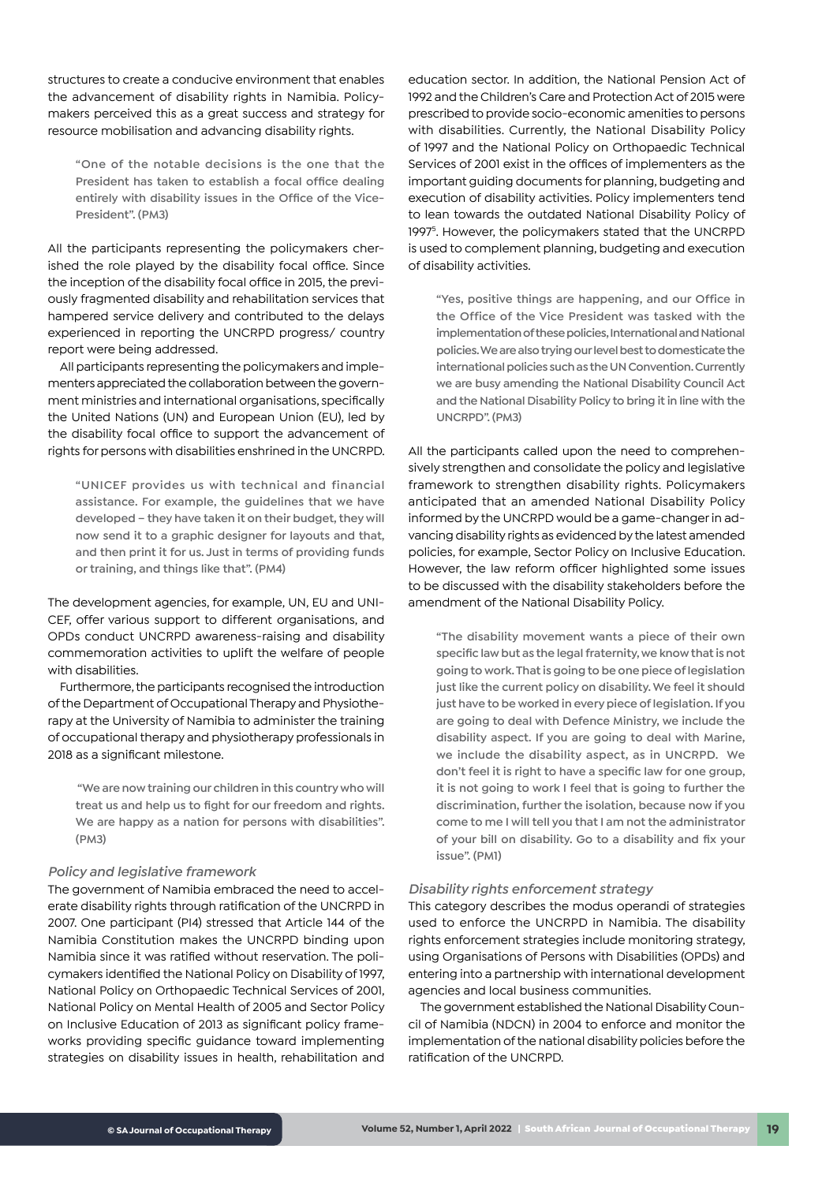structures to create a conducive environment that enables the advancement of disability rights in Namibia. Policymakers perceived this as a great success and strategy for resource mobilisation and advancing disability rights.

**"One of the notable decisions is the one that the President has taken to establish a focal office dealing entirely with disability issues in the Office of the Vice-President". (PM3)** 

All the participants representing the policymakers cherished the role played by the disability focal office. Since the inception of the disability focal office in 2015, the previously fragmented disability and rehabilitation services that hampered service delivery and contributed to the delays experienced in reporting the UNCRPD progress/ country report were being addressed.

All participants representing the policymakers and implementers appreciated the collaboration between the government ministries and international organisations, specifically the United Nations (UN) and European Union (EU), led by the disability focal office to support the advancement of rights for persons with disabilities enshrined in the UNCRPD.

**"UNICEF provides us with technical and financial assistance. For example, the guidelines that we have developed – they have taken it on their budget, they will now send it to a graphic designer for layouts and that, and then print it for us. Just in terms of providing funds or training, and things like that". (PM4)**

The development agencies, for example, UN, EU and UNI-CEF, offer various support to different organisations, and OPDs conduct UNCRPD awareness-raising and disability commemoration activities to uplift the welfare of people with disabilities.

Furthermore, the participants recognised the introduction of the Department of Occupational Therapy and Physiotherapy at the University of Namibia to administer the training of occupational therapy and physiotherapy professionals in 2018 as a significant milestone.

 **"We are now training our children in this country who will treat us and help us to fight for our freedom and rights. We are happy as a nation for persons with disabilities". (PM3)**

#### *Policy and legislative framework*

The government of Namibia embraced the need to accelerate disability rights through ratification of the UNCRPD in 2007. One participant (PI4) stressed that Article 144 of the Namibia Constitution makes the UNCRPD binding upon Namibia since it was ratified without reservation. The policymakers identified the National Policy on Disability of 1997, National Policy on Orthopaedic Technical Services of 2001, National Policy on Mental Health of 2005 and Sector Policy on Inclusive Education of 2013 as significant policy frameworks providing specific guidance toward implementing strategies on disability issues in health, rehabilitation and

education sector. In addition, the National Pension Act of 1992 and the Children's Care and Protection Act of 2015 were prescribed to provide socio-economic amenities to persons with disabilities. Currently, the National Disability Policy of 1997 and the National Policy on Orthopaedic Technical Services of 2001 exist in the offices of implementers as the important guiding documents for planning, budgeting and execution of disability activities. Policy implementers tend to lean towards the outdated National Disability Policy of 1997<sup>5</sup>. However, the policymakers stated that the UNCRPD is used to complement planning, budgeting and execution of disability activities.

**"Yes, positive things are happening, and our Office in the Office of the Vice President was tasked with the implementation of these policies, International and National policies. We are also trying our level best to domesticate the international policies such as the UN Convention. Currently we are busy amending the National Disability Council Act and the National Disability Policy to bring it in line with the UNCRPD". (PM3)**

All the participants called upon the need to comprehensively strengthen and consolidate the policy and legislative framework to strengthen disability rights. Policymakers anticipated that an amended National Disability Policy informed by the UNCRPD would be a game-changer in advancing disability rights as evidenced by the latest amended policies, for example, Sector Policy on Inclusive Education. However, the law reform officer highlighted some issues to be discussed with the disability stakeholders before the amendment of the National Disability Policy.

**"The disability movement wants a piece of their own specific law but as the legal fraternity, we know that is not going to work. That is going to be one piece of legislation just like the current policy on disability. We feel it should just have to be worked in every piece of legislation. If you are going to deal with Defence Ministry, we include the disability aspect. If you are going to deal with Marine, we include the disability aspect, as in UNCRPD. We don't feel it is right to have a specific law for one group, it is not going to work I feel that is going to further the discrimination, further the isolation, because now if you come to me I will tell you that I am not the administrator of your bill on disability. Go to a disability and fix your issue". (PM1)**

#### *Disability rights enforcement strategy*

This category describes the modus operandi of strategies used to enforce the UNCRPD in Namibia. The disability rights enforcement strategies include monitoring strategy, using Organisations of Persons with Disabilities (OPDs) and entering into a partnership with international development agencies and local business communities.

The government established the National Disability Council of Namibia (NDCN) in 2004 to enforce and monitor the implementation of the national disability policies before the ratification of the UNCRPD.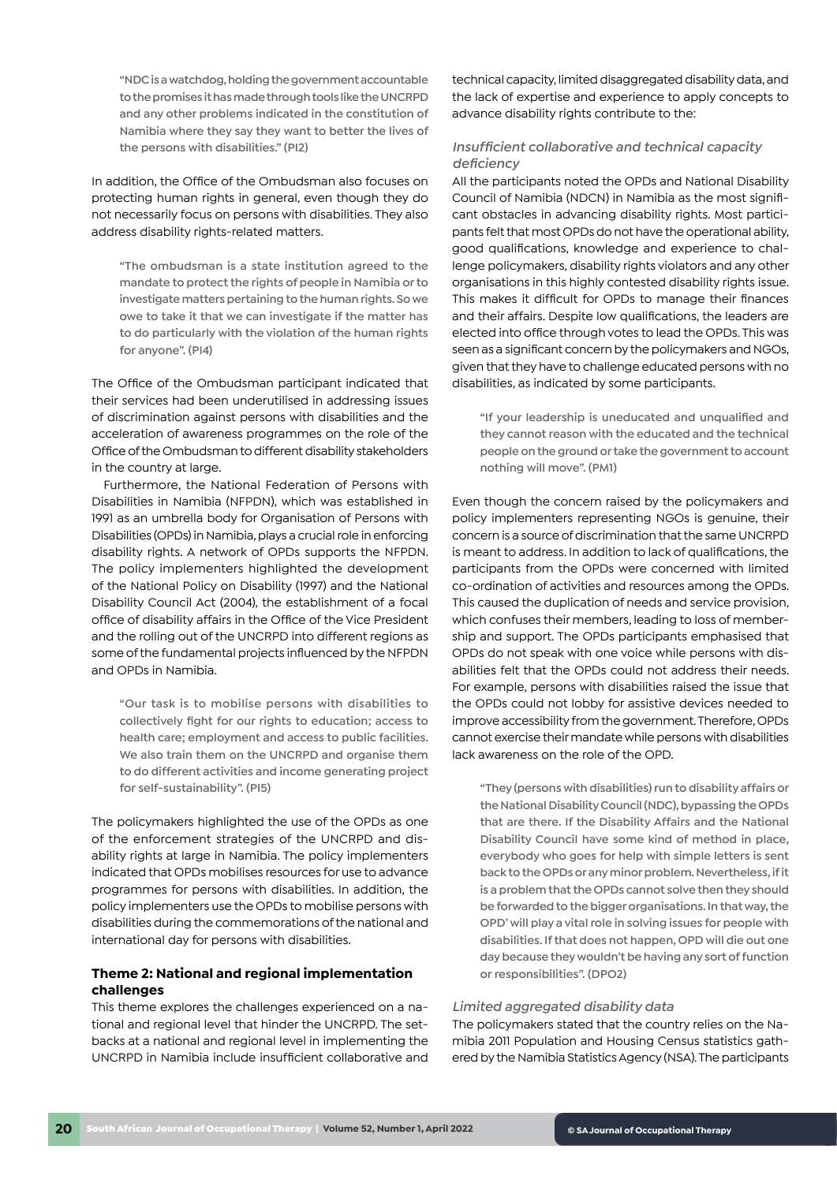**"NDC is a watchdog, holding the government accountable to the promises it has made through tools like the UNCRPD and any other problems indicated in the constitution of Namibia where they say they want to better the lives of the persons with disabilities." (PI2)**

In addition, the Office of the Ombudsman also focuses on protecting human rights in general, even though they do not necessarily focus on persons with disabilities. They also address disability rights-related matters.

**"The ombudsman is a state institution agreed to the mandate to protect the rights of people in Namibia or to investigate matters pertaining to the human rights. So we owe to take it that we can investigate if the matter has to do particularly with the violation of the human rights for anyone". (PI4)**

The Office of the Ombudsman participant indicated that their services had been underutilised in addressing issues of discrimination against persons with disabilities and the acceleration of awareness programmes on the role of the Office of the Ombudsman to different disability stakeholders in the country at large.

Furthermore, the National Federation of Persons with Disabilities in Namibia (NFPDN), which was established in 1991 as an umbrella body for Organisation of Persons with Disabilities (OPDs) in Namibia, plays a crucial role in enforcing disability rights. A network of OPDs supports the NFPDN. The policy implementers highlighted the development of the National Policy on Disability (1997) and the National Disability Council Act (2004), the establishment of a focal office of disability affairs in the Office of the Vice President and the rolling out of the UNCRPD into different regions as some of the fundamental projects influenced by the NFPDN and OPDs in Namibia.

**"Our task is to mobilise persons with disabilities to collectively fight for our rights to education; access to health care; employment and access to public facilities. We also train them on the UNCRPD and organise them to do different activities and income generating project for self-sustainability". (PI5)**

The policymakers highlighted the use of the OPDs as one of the enforcement strategies of the UNCRPD and disability rights at large in Namibia. The policy implementers indicated that OPDs mobilises resources for use to advance programmes for persons with disabilities. In addition, the policy implementers use the OPDs to mobilise persons with disabilities during the commemorations of the national and international day for persons with disabilities.

# **Theme 2: National and regional implementation challenges**

This theme explores the challenges experienced on a national and regional level that hinder the UNCRPD. The setbacks at a national and regional level in implementing the UNCRPD in Namibia include insufficient collaborative and

technical capacity, limited disaggregated disability data, and the lack of expertise and experience to apply concepts to advance disability rights contribute to the:

## *Insufficient collaborative and technical capacity deficiency*

All the participants noted the OPDs and National Disability Council of Namibia (NDCN) in Namibia as the most significant obstacles in advancing disability rights. Most participants felt that most OPDs do not have the operational ability, good qualifications, knowledge and experience to challenge policymakers, disability rights violators and any other organisations in this highly contested disability rights issue. This makes it difficult for OPDs to manage their finances and their affairs. Despite low qualifications, the leaders are elected into office through votes to lead the OPDs. This was seen as a significant concern by the policymakers and NGOs, given that they have to challenge educated persons with no disabilities, as indicated by some participants.

**"If your leadership is uneducated and unqualified and they cannot reason with the educated and the technical people on the ground or take the government to account nothing will move". (PM1)**

Even though the concern raised by the policymakers and policy implementers representing NGOs is genuine, their concern is a source of discrimination that the same UNCRPD is meant to address. In addition to lack of qualifications, the participants from the OPDs were concerned with limited co-ordination of activities and resources among the OPDs. This caused the duplication of needs and service provision, which confuses their members, leading to loss of membership and support. The OPDs participants emphasised that OPDs do not speak with one voice while persons with disabilities felt that the OPDs could not address their needs. For example, persons with disabilities raised the issue that the OPDs could not lobby for assistive devices needed to improve accessibility from the government. Therefore, OPDs cannot exercise their mandate while persons with disabilities lack awareness on the role of the OPD.

**"They (persons with disabilities) run to disability affairs or the National Disability Council (NDC), bypassing the OPDs that are there. If the Disability Affairs and the National Disability Council have some kind of method in place, everybody who goes for help with simple letters is sent back to the OPDs or any minor problem. Nevertheless, if it is a problem that the OPDs cannot solve then they should be forwarded to the bigger organisations. In that way, the OPD' will play a vital role in solving issues for people with disabilities. If that does not happen, OPD will die out one day because they wouldn't be having any sort of function or responsibilities". (DPO2)**

#### *Limited aggregated disability data*

The policymakers stated that the country relies on the Namibia 2011 Population and Housing Census statistics gathered by the Namibia Statistics Agency (NSA). The participants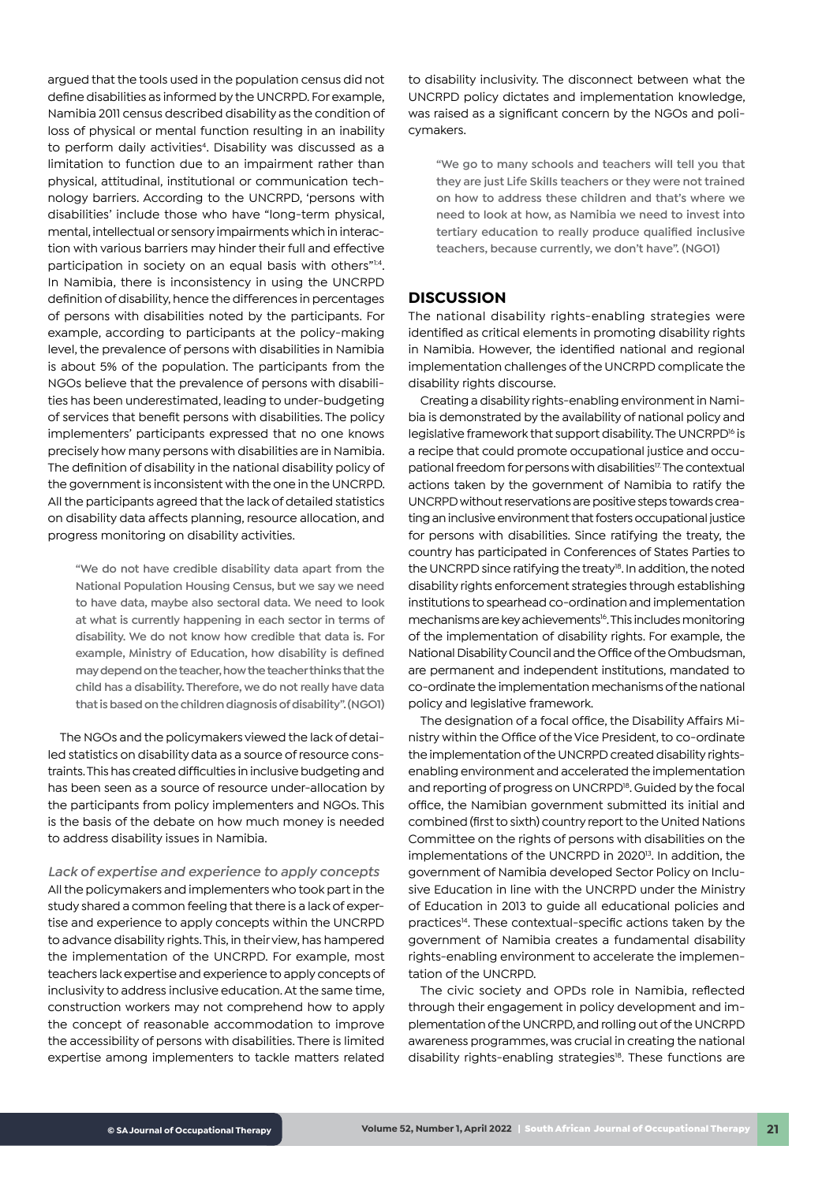argued that the tools used in the population census did not define disabilities as informed by the UNCRPD. For example, Namibia 2011 census described disability as the condition of loss of physical or mental function resulting in an inability to perform daily activities<sup>4</sup>. Disability was discussed as a limitation to function due to an impairment rather than physical, attitudinal, institutional or communication technology barriers. According to the UNCRPD, 'persons with disabilities' include those who have "long-term physical, mental, intellectual or sensory impairments which in interaction with various barriers may hinder their full and effective participation in society on an equal basis with others"1:4. In Namibia, there is inconsistency in using the UNCRPD definition of disability, hence the differences in percentages of persons with disabilities noted by the participants. For example, according to participants at the policy-making level, the prevalence of persons with disabilities in Namibia is about 5% of the population. The participants from the NGOs believe that the prevalence of persons with disabilities has been underestimated, leading to under-budgeting of services that benefit persons with disabilities. The policy implementers' participants expressed that no one knows precisely how many persons with disabilities are in Namibia. The definition of disability in the national disability policy of the government is inconsistent with the one in the UNCRPD. All the participants agreed that the lack of detailed statistics on disability data affects planning, resource allocation, and progress monitoring on disability activities.

**"We do not have credible disability data apart from the National Population Housing Census, but we say we need to have data, maybe also sectoral data. We need to look at what is currently happening in each sector in terms of disability. We do not know how credible that data is. For example, Ministry of Education, how disability is defined may depend on the teacher, how the teacher thinks that the child has a disability. Therefore, we do not really have data that is based on the children diagnosis of disability". (NGO1)** 

The NGOs and the policymakers viewed the lack of detailed statistics on disability data as a source of resource constraints. This has created difficulties in inclusive budgeting and has been seen as a source of resource under-allocation by the participants from policy implementers and NGOs. This is the basis of the debate on how much money is needed to address disability issues in Namibia.

*Lack of expertise and experience to apply concepts*  All the policymakers and implementers who took part in the study shared a common feeling that there is a lack of expertise and experience to apply concepts within the UNCRPD to advance disability rights. This, in their view, has hampered the implementation of the UNCRPD. For example, most teachers lack expertise and experience to apply concepts of inclusivity to address inclusive education. At the same time, construction workers may not comprehend how to apply the concept of reasonable accommodation to improve the accessibility of persons with disabilities. There is limited expertise among implementers to tackle matters related

to disability inclusivity. The disconnect between what the UNCRPD policy dictates and implementation knowledge, was raised as a significant concern by the NGOs and policymakers.

**"We go to many schools and teachers will tell you that they are just Life Skills teachers or they were not trained on how to address these children and that's where we need to look at how, as Namibia we need to invest into tertiary education to really produce qualified inclusive teachers, because currently, we don't have". (NGO1)** 

## **DISCUSSION**

The national disability rights-enabling strategies were identified as critical elements in promoting disability rights in Namibia. However, the identified national and regional implementation challenges of the UNCRPD complicate the disability rights discourse.

Creating a disability rights-enabling environment in Namibia is demonstrated by the availability of national policy and legislative framework that support disability. The UNCRPD<sup>16</sup> is a recipe that could promote occupational justice and occupational freedom for persons with disabilities<sup>17.</sup> The contextual actions taken by the government of Namibia to ratify the UNCRPD without reservations are positive steps towards creating an inclusive environment that fosters occupational justice for persons with disabilities. Since ratifying the treaty, the country has participated in Conferences of States Parties to the UNCRPD since ratifying the treaty<sup>18</sup>. In addition, the noted disability rights enforcement strategies through establishing institutions to spearhead co-ordination and implementation mechanisms are key achievements<sup>16</sup>. This includes monitoring of the implementation of disability rights. For example, the National Disability Council and the Office of the Ombudsman, are permanent and independent institutions, mandated to co-ordinate the implementation mechanisms of the national policy and legislative framework.

The designation of a focal office, the Disability Affairs Ministry within the Office of the Vice President, to co-ordinate the implementation of the UNCRPD created disability rightsenabling environment and accelerated the implementation and reporting of progress on UNCRPD<sup>18</sup>. Guided by the focal office, the Namibian government submitted its initial and combined (first to sixth) country report to the United Nations Committee on the rights of persons with disabilities on the implementations of the UNCRPD in 2020<sup>13</sup>. In addition, the government of Namibia developed Sector Policy on Inclusive Education in line with the UNCRPD under the Ministry of Education in 2013 to guide all educational policies and practices14. These contextual-specific actions taken by the government of Namibia creates a fundamental disability rights-enabling environment to accelerate the implementation of the UNCRPD.

The civic society and OPDs role in Namibia, reflected through their engagement in policy development and implementation of the UNCRPD, and rolling out of the UNCRPD awareness programmes, was crucial in creating the national disability rights-enabling strategies<sup>18</sup>. These functions are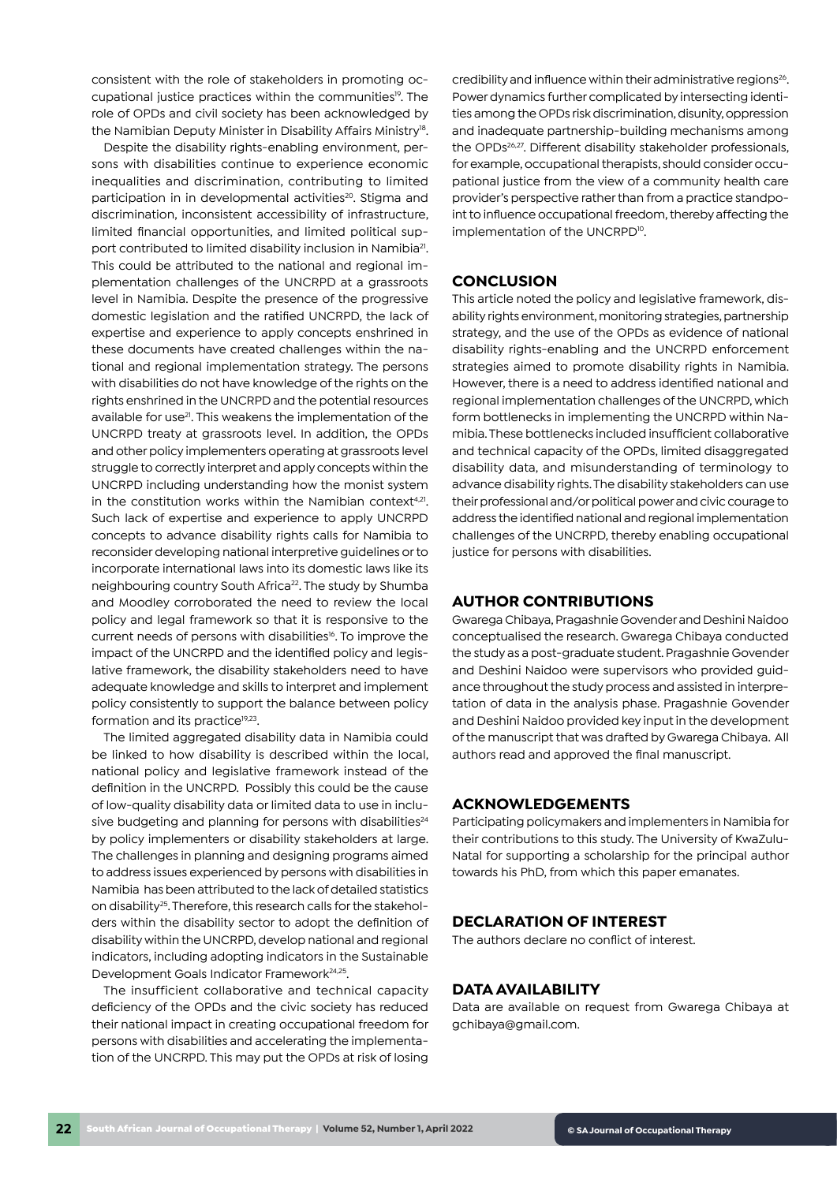consistent with the role of stakeholders in promoting occupational justice practices within the communities<sup>19</sup>. The role of OPDs and civil society has been acknowledged by the Namibian Deputy Minister in Disability Affairs Ministry<sup>18</sup>.

Despite the disability rights-enabling environment, persons with disabilities continue to experience economic inequalities and discrimination, contributing to limited participation in in developmental activities<sup>20</sup>. Stigma and discrimination, inconsistent accessibility of infrastructure, limited financial opportunities, and limited political support contributed to limited disability inclusion in Namibia<sup>21</sup>. This could be attributed to the national and regional implementation challenges of the UNCRPD at a grassroots level in Namibia. Despite the presence of the progressive domestic legislation and the ratified UNCRPD, the lack of expertise and experience to apply concepts enshrined in these documents have created challenges within the national and regional implementation strategy. The persons with disabilities do not have knowledge of the rights on the rights enshrined in the UNCRPD and the potential resources available for use<sup>21</sup>. This weakens the implementation of the UNCRPD treaty at grassroots level. In addition, the OPDs and other policy implementers operating at grassroots level struggle to correctly interpret and apply concepts within the UNCRPD including understanding how the monist system in the constitution works within the Namibian context<sup>4,21</sup>. Such lack of expertise and experience to apply UNCRPD concepts to advance disability rights calls for Namibia to reconsider developing national interpretive guidelines or to incorporate international laws into its domestic laws like its neighbouring country South Africa<sup>22</sup>. The study by Shumba and Moodley corroborated the need to review the local policy and legal framework so that it is responsive to the current needs of persons with disabilities<sup>16</sup>. To improve the impact of the UNCRPD and the identified policy and legislative framework, the disability stakeholders need to have adequate knowledge and skills to interpret and implement policy consistently to support the balance between policy formation and its practice<sup>19,23</sup>.

The limited aggregated disability data in Namibia could be linked to how disability is described within the local, national policy and legislative framework instead of the definition in the UNCRPD. Possibly this could be the cause of low-quality disability data or limited data to use in inclusive budgeting and planning for persons with disabilities<sup>24</sup> by policy implementers or disability stakeholders at large. The challenges in planning and designing programs aimed to address issues experienced by persons with disabilities in Namibia has been attributed to the lack of detailed statistics on disability25. Therefore, this research calls for the stakeholders within the disability sector to adopt the definition of disability within the UNCRPD, develop national and regional indicators, including adopting indicators in the Sustainable Development Goals Indicator Framework<sup>24,25</sup>.

The insufficient collaborative and technical capacity deficiency of the OPDs and the civic society has reduced their national impact in creating occupational freedom for persons with disabilities and accelerating the implementation of the UNCRPD. This may put the OPDs at risk of losing

credibility and influence within their administrative regions<sup>26</sup>. Power dynamics further complicated by intersecting identities among the OPDs risk discrimination, disunity, oppression and inadequate partnership-building mechanisms among the OPDs<sup>26,27</sup>. Different disability stakeholder professionals, for example, occupational therapists, should consider occupational justice from the view of a community health care provider's perspective rather than from a practice standpoint to influence occupational freedom, thereby affecting the implementation of the UNCRPD<sup>10</sup>.

## **CONCLUSION**

This article noted the policy and legislative framework, disability rights environment, monitoring strategies, partnership strategy, and the use of the OPDs as evidence of national disability rights-enabling and the UNCRPD enforcement strategies aimed to promote disability rights in Namibia. However, there is a need to address identified national and regional implementation challenges of the UNCRPD, which form bottlenecks in implementing the UNCRPD within Namibia. These bottlenecks included insufficient collaborative and technical capacity of the OPDs, limited disaggregated disability data, and misunderstanding of terminology to advance disability rights. The disability stakeholders can use their professional and/or political power and civic courage to address the identified national and regional implementation challenges of the UNCRPD, thereby enabling occupational justice for persons with disabilities.

#### **AUTHOR CONTRIBUTIONS**

Gwarega Chibaya, Pragashnie Govender and Deshini Naidoo conceptualised the research. Gwarega Chibaya conducted the study as a post-graduate student. Pragashnie Govender and Deshini Naidoo were supervisors who provided guidance throughout the study process and assisted in interpretation of data in the analysis phase. Pragashnie Govender and Deshini Naidoo provided key input in the development of the manuscript that was drafted by Gwarega Chibaya. All authors read and approved the final manuscript.

#### **ACKNOWLEDGEMENTS**

Participating policymakers and implementers in Namibia for their contributions to this study. The University of KwaZulu-Natal for supporting a scholarship for the principal author towards his PhD, from which this paper emanates.

#### **DECLARATION OF INTEREST**

The authors declare no conflict of interest.

### **DATA AVAILABILITY**

Data are available on request from Gwarega Chibaya at gchibaya@gmail.com.